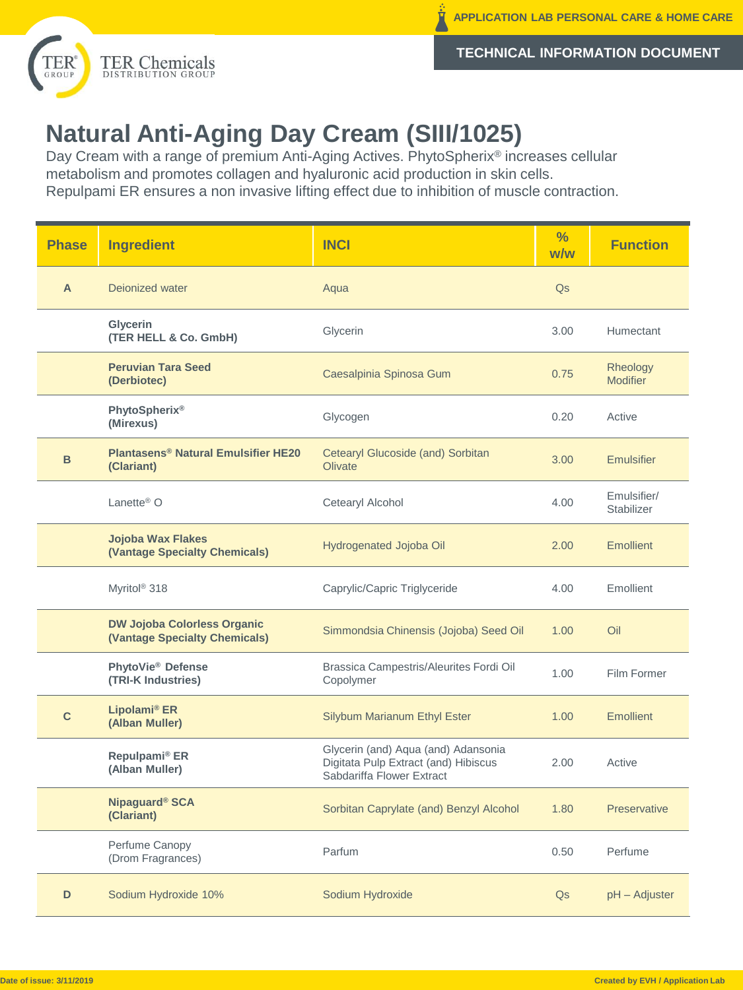

**TECHNICAL INFORMATION DOCUMENT**

## **Natural Anti-Aging Day Cream (SIII/1025)**

Day Cream with a range of premium Anti-Aging Actives. PhytoSpherix® increases cellular metabolism and promotes collagen and hyaluronic acid production in skin cells. Repulpami ER ensures a non invasive lifting effect due to inhibition of muscle contraction.

| <b>Phase</b> | <b>Ingredient</b>                                                   | <b>INCI</b>                                                                                              | $\frac{9}{6}$<br>w/w | <b>Function</b>                  |
|--------------|---------------------------------------------------------------------|----------------------------------------------------------------------------------------------------------|----------------------|----------------------------------|
| A            | Dejonized water                                                     | Aqua                                                                                                     | Q <sub>S</sub>       |                                  |
|              | Glycerin<br>(TER HELL & Co. GmbH)                                   | Glycerin                                                                                                 | 3.00                 | Humectant                        |
|              | <b>Peruvian Tara Seed</b><br>(Derbiotec)                            | Caesalpinia Spinosa Gum                                                                                  | 0.75                 | Rheology<br><b>Modifier</b>      |
|              | <b>PhytoSpherix®</b><br>(Mirexus)                                   | Glycogen                                                                                                 | 0.20                 | Active                           |
| B            | <b>Plantasens<sup>®</sup> Natural Emulsifier HE20</b><br>(Clariant) | Cetearyl Glucoside (and) Sorbitan<br><b>Olivate</b>                                                      | 3.00                 | <b>Emulsifier</b>                |
|              | Lanette <sup>®</sup> $O$                                            | Cetearyl Alcohol                                                                                         | 4.00                 | Emulsifier/<br><b>Stabilizer</b> |
|              | <b>Jojoba Wax Flakes</b><br>(Vantage Specialty Chemicals)           | Hydrogenated Jojoba Oil                                                                                  | 2.00                 | <b>Emollient</b>                 |
|              | Myritol <sup>®</sup> 318                                            | Caprylic/Capric Triglyceride                                                                             | 4.00                 | Emollient                        |
|              | <b>DW Jojoba Colorless Organic</b><br>(Vantage Specialty Chemicals) | Simmondsia Chinensis (Jojoba) Seed Oil                                                                   | 1.00                 | Oil                              |
|              | PhytoVie <sup>®</sup> Defense<br>(TRI-K Industries)                 | Brassica Campestris/Aleurites Fordi Oil<br>Copolymer                                                     | 1.00                 | Film Former                      |
| $\mathbf{C}$ | Lipolami <sup>®</sup> ER<br>(Alban Muller)                          | <b>Silybum Marianum Ethyl Ester</b>                                                                      | 1.00                 | <b>Emollient</b>                 |
|              | Repulpami <sup>®</sup> ER<br>(Alban Muller)                         | Glycerin (and) Aqua (and) Adansonia<br>Digitata Pulp Extract (and) Hibiscus<br>Sabdariffa Flower Extract | 2.00                 | Active                           |
|              | Nipaguard <sup>®</sup> SCA<br>(Clariant)                            | Sorbitan Caprylate (and) Benzyl Alcohol                                                                  | 1.80                 | <b>Preservative</b>              |
|              | Perfume Canopy<br>(Drom Fragrances)                                 | Parfum                                                                                                   | 0.50                 | Perfume                          |
| D            | Sodium Hydroxide 10%                                                | Sodium Hydroxide                                                                                         | Q <sub>S</sub>       | pH - Adjuster                    |